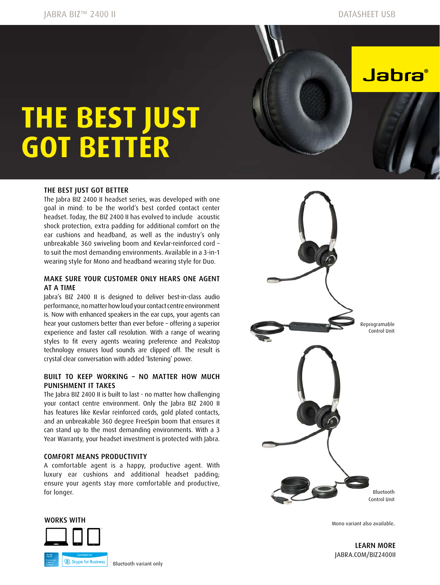**Jabra**®

# **THE BEST JUST GOT BETTER**

#### THE BEST JUST GOT BETTER

The Jabra BIZ 2400 II headset series, was developed with one goal in mind: to be the world's best corded contact center headset. Today, the BIZ 2400 II has evolved to include acoustic shock protection, extra padding for additional comfort on the ear cushions and headband, as well as the industry's only unbreakable 360 swiveling boom and Kevlar-reinforced cord – to suit the most demanding environments. Available in a 3-in-1 wearing style for Mono and headband wearing style for Duo.

#### MAKE SURE YOUR CUSTOMER ONLY HEARS ONE AGENT AT A TIME

Jabra's BIZ 2400 II is designed to deliver best-in-class audio performance, no matter how loud your contact centre environment is. Now with enhanced speakers in the ear cups, your agents can hear your customers better than ever before – offering a superior experience and faster call resolution. With a range of wearing styles to fit every agents wearing preference and Peakstop technology ensures loud sounds are clipped off. The result is crystal clear conversation with added 'listening' power.

#### BUILT TO KEEP WORKING – NO MATTER HOW MUCH PUNISHMENT IT TAKES

The Jabra BIZ 2400 II is built to last - no matter how challenging your contact centre environment. Only the Jabra BIZ 2400 II has features like Kevlar reinforced cords, gold plated contacts, and an unbreakable 360 degree FreeSpin boom that ensures it can stand up to the most demanding environments. With a 3 Year Warranty, your headset investment is protected with Jabra.

#### COMFORT MEANS PRODUCTIVITY

A comfortable agent is a happy, productive agent. With luxury ear cushions and additional headset padding; ensure your agents stay more comfortable and productive, for longer.





Mono variant also available.

LEARN MORE [JABRA.COM/BIZ2400](http://JABRA.COM/BIZ2400)II